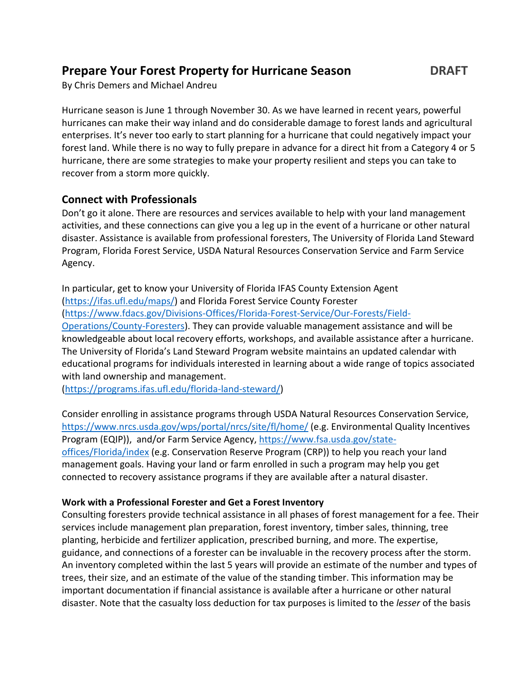# **Prepare Your Forest Property for Hurricane Season DRAFT**

By Chris Demers and Michael Andreu

Hurricane season is June 1 through November 30. As we have learned in recent years, powerful hurricanes can make their way inland and do considerable damage to forest lands and agricultural enterprises. It's never too early to start planning for a hurricane that could negatively impact your forest land. While there is no way to fully prepare in advance for a direct hit from a Category 4 or 5 hurricane, there are some strategies to make your property resilient and steps you can take to recover from a storm more quickly.

# **Connect with Professionals**

Don't go it alone. There are resources and services available to help with your land management activities, and these connections can give you a leg up in the event of a hurricane or other natural disaster. Assistance is available from professional foresters, The University of Florida Land Steward Program, Florida Forest Service, USDA Natural Resources Conservation Service and Farm Service Agency.

In particular, get to know your University of Florida IFAS County Extension Agent [\(https://ifas.ufl.edu/maps/\)](https://ifas.ufl.edu/maps/) and Florida Forest Service County Forester [\(https://www.fdacs.gov/Divisions-Offices/Florida-Forest-Service/Our-Forests/Field-](https://www.fdacs.gov/Divisions-Offices/Florida-Forest-Service/Our-Forests/Field-Operations/County-Foresters)[Operations/County-Foresters\)](https://www.fdacs.gov/Divisions-Offices/Florida-Forest-Service/Our-Forests/Field-Operations/County-Foresters). They can provide valuable management assistance and will be knowledgeable about local recovery efforts, workshops, and available assistance after a hurricane. The University of Florida's Land Steward Program website maintains an updated calendar with educational programs for individuals interested in learning about a wide range of topics associated with land ownership and management.

[\(https://programs.ifas.ufl.edu/florida-land-steward/\)](https://programs.ifas.ufl.edu/florida-land-steward/)

Consider enrolling in assistance programs through USDA Natural Resources Conservation Service, <https://www.nrcs.usda.gov/wps/portal/nrcs/site/fl/home/> (e.g. Environmental Quality Incentives Program (EQIP)), and/or Farm Service Agency[, https://www.fsa.usda.gov/state](https://www.fsa.usda.gov/state-offices/Florida/index)[offices/Florida/index](https://www.fsa.usda.gov/state-offices/Florida/index) (e.g. Conservation Reserve Program (CRP)) to help you reach your land management goals. Having your land or farm enrolled in such a program may help you get connected to recovery assistance programs if they are available after a natural disaster.

## **Work with a Professional Forester and Get a Forest Inventory**

Consulting foresters provide technical assistance in all phases of forest management for a fee. Their services include management plan preparation, forest inventory, timber sales, thinning, tree planting, herbicide and fertilizer application, prescribed burning, and more. The expertise, guidance, and connections of a forester can be invaluable in the recovery process after the storm. An inventory completed within the last 5 years will provide an estimate of the number and types of trees, their size, and an estimate of the value of the standing timber. This information may be important documentation if financial assistance is available after a hurricane or other natural disaster. Note that the casualty loss deduction for tax purposes is limited to the *lesser* of the basis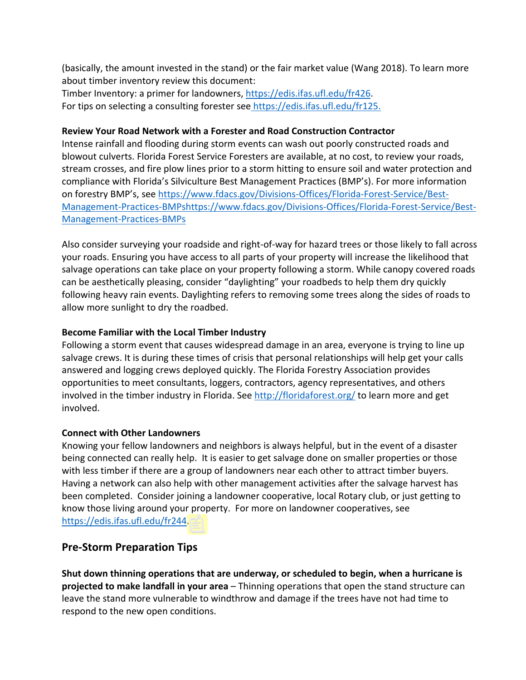(basically, the amount invested in the stand) or the fair market value (Wang 2018). To learn more about timber inventory review this document:

Timber Inventory: a primer for landowners, [https://edis.ifas.ufl.edu/fr426.](https://edis.ifas.ufl.edu/fr426) For tips on selecting a consulting forester see https://edis.ifas.ufl.edu/fr125.

#### **Review Your Road Network with a Forester and Road Construction Contractor**

Intense rainfall and flooding during storm events can wash out poorly constructed roads and blowout culverts. Florida Forest Service Foresters are available, at no cost, to review your roads, stream crosses, and fire plow lines prior to a storm hitting to ensure soil and water protection and compliance with Florida's Silviculture Best Management Practices (BMP's). For more information on forestry BMP's, see [https://www.fdacs.gov/Divisions-Offices/Florida-Forest-Service/Best-](https://www.fdacs.gov/Divisions-Offices/Florida-Forest-Service/Best-Management-Practices-BMPs)[Management-Practices-BMPshttps://www.fdacs.gov/Divisions-Offices/Florida-Forest-Service/Best-](https://www.fdacs.gov/Divisions-Offices/Florida-Forest-Service/Best-Management-Practices-BMPs)[Management-Practices-BMPs](https://www.fdacs.gov/Divisions-Offices/Florida-Forest-Service/Best-Management-Practices-BMPs)

Also consider surveying your roadside and right-of-way for hazard trees or those likely to fall across your roads. Ensuring you have access to all parts of your property will increase the likelihood that salvage operations can take place on your property following a storm. While canopy covered roads can be aesthetically pleasing, consider "daylighting" your roadbeds to help them dry quickly following heavy rain events. Daylighting refers to removing some trees along the sides of roads to allow more sunlight to dry the roadbed.

## **Become Familiar with the Local Timber Industry**

Following a storm event that causes widespread damage in an area, everyone is trying to line up salvage crews. It is during these times of crisis that personal relationships will help get your calls answered and logging crews deployed quickly. The Florida Forestry Association provides opportunities to meet consultants, loggers, contractors, agency representatives, and others involved in the timber industry in Florida. See  $\frac{http://floridaforest.org/}{http://floridaforest.org/}$  to learn more and get involved.

#### **Connect with Other Landowners**

Knowing your fellow landowners and neighbors is always helpful, but in the event of a disaster being connected can really help. It is easier to get salvage done on smaller properties or those with less timber if there are a group of landowners near each other to attract timber buyers. Having a network can also help with other management activities after the salvage harvest has been completed. Consider joining a landowner cooperative, local Rotary club, or just getting to know those living around your property. For more on landowner cooperatives, see [https://edis.ifas.ufl.edu/fr244.](https://edis.ifas.ufl.edu/fr244)

# **Pre-Storm Preparation Tips**

**Shut down thinning operations that are underway, or scheduled to begin, when a hurricane is projected to make landfall in your area** – Thinning operations that open the stand structure can leave the stand more vulnerable to windthrow and damage if the trees have not had time to respond to the new open conditions.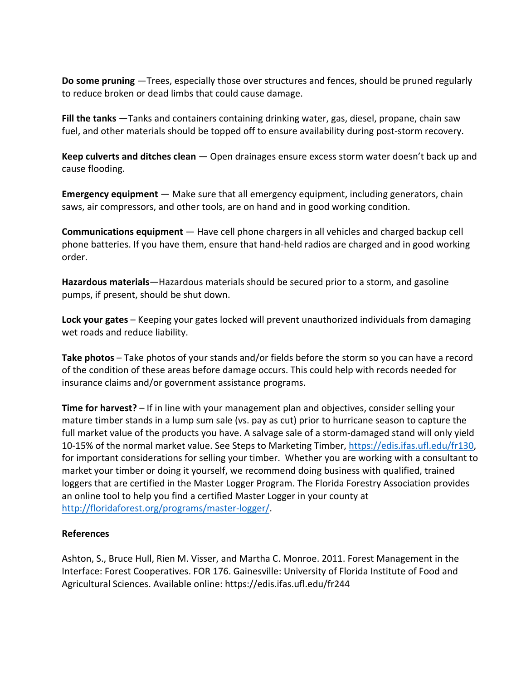**Do some pruning** —Trees, especially those over structures and fences, should be pruned regularly to reduce broken or dead limbs that could cause damage.

**Fill the tanks** —Tanks and containers containing drinking water, gas, diesel, propane, chain saw fuel, and other materials should be topped off to ensure availability during post-storm recovery.

**Keep culverts and ditches clean** — Open drainages ensure excess storm water doesn't back up and cause flooding.

**Emergency equipment** — Make sure that all emergency equipment, including generators, chain saws, air compressors, and other tools, are on hand and in good working condition.

**Communications equipment** — Have cell phone chargers in all vehicles and charged backup cell phone batteries. If you have them, ensure that hand-held radios are charged and in good working order.

**Hazardous materials**—Hazardous materials should be secured prior to a storm, and gasoline pumps, if present, should be shut down.

**Lock your gates** – Keeping your gates locked will prevent unauthorized individuals from damaging wet roads and reduce liability.

**Take photos** – Take photos of your stands and/or fields before the storm so you can have a record of the condition of these areas before damage occurs. This could help with records needed for insurance claims and/or government assistance programs.

**Time for harvest?** – If in line with your management plan and objectives, consider selling your mature timber stands in a lump sum sale (vs. pay as cut) prior to hurricane season to capture the full market value of the products you have. A salvage sale of a storm-damaged stand will only yield 10-15% of the normal market value. See Steps to Marketing Timber, [https://edis.ifas.ufl.edu/fr130,](https://edis.ifas.ufl.edu/fr130) for important considerations for selling your timber. Whether you are working with a consultant to market your timber or doing it yourself, we recommend doing business with qualified, trained loggers that are certified in the Master Logger Program. The Florida Forestry Association provides an online tool to help you find a certified Master Logger in your county at [http://floridaforest.org/programs/master-logger/.](http://floridaforest.org/programs/master-logger/)

## **References**

Ashton, S., Bruce Hull, Rien M. Visser, and Martha C. Monroe. 2011. Forest Management in the Interface: Forest Cooperatives. FOR 176. Gainesville: University of Florida Institute of Food and Agricultural Sciences. Available online: https://edis.ifas.ufl.edu/fr244